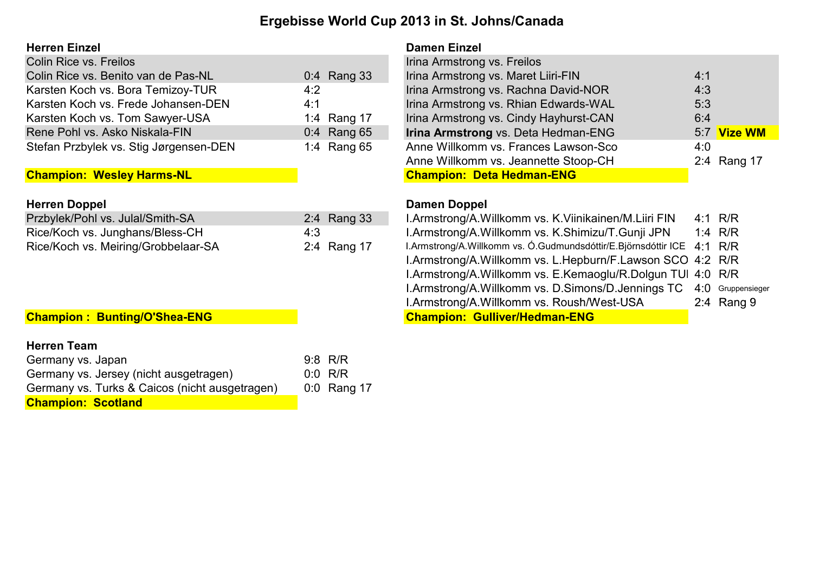# Ergebisse World Cup 2013 in St. Johns/Canada

### Herren Einzel Damen Einzel

| Colin Rice vs. Freilos                 |             | Irina Armstrong vs. Freilos            |     |
|----------------------------------------|-------------|----------------------------------------|-----|
| Colin Rice vs. Benito van de Pas-NL    | 0:4 Rang 33 | Irina Armstrong vs. Maret Liiri-FIN    | 4:1 |
| Karsten Koch vs. Bora Temizoy-TUR      | 4:2         | Irina Armstrong vs. Rachna David-NOR   | 4:3 |
| Karsten Koch vs. Frede Johansen-DEN    | 4:1         | Irina Armstrong vs. Rhian Edwards-WAL  | 5:3 |
| Karsten Koch vs. Tom Sawyer-USA        | 1:4 Rang 17 | Irina Armstrong vs. Cindy Hayhurst-CAN | 6:4 |
| Rene Pohl vs. Asko Niskala-FIN         | 0:4 Rang 65 | Irina Armstrong vs. Deta Hedman-ENG    | 5:7 |
| Stefan Przbylek vs. Stig Jørgensen-DEN | 1:4 Rang 65 | Anne Willkomm vs. Frances Lawson-Sco   | 4:0 |

## **Champion: Wesley Harms-NL**

| <b>Herren Doppel</b>                |             | Damen Doppel                                                           |  |           |  |  |  |  |
|-------------------------------------|-------------|------------------------------------------------------------------------|--|-----------|--|--|--|--|
| Przbylek/Pohl vs. Julal/Smith-SA    | 2:4 Rang 33 | I.Armstrong/A.Willkomm vs. K.Viinikainen/M.Liiri FIN                   |  | 4:1 R/R   |  |  |  |  |
| Rice/Koch vs. Junghans/Bless-CH     | 4:3         | I.Armstrong/A.Willkomm vs. K.Shimizu/T.Gunji JPN                       |  | 1:4 $R/R$ |  |  |  |  |
| Rice/Koch vs. Meiring/Grobbelaar-SA | 2:4 Rang 17 | I.Armstrong/A.Willkomm vs. O.Gudmundsdóttir/E.Björnsdóttir ICE 4:1 R/R |  |           |  |  |  |  |

## Champion : Bunting/O'Shea-ENG

### Herren Team

| Germany vs. Japan                              | $9:8$ R/R   |
|------------------------------------------------|-------------|
| Germany vs. Jersey (nicht ausgetragen)         | $0:0$ R/R   |
| Germany vs. Turks & Caicos (nicht ausgetragen) | 0:0 Rang 17 |
| <b>Champion: Scotland</b>                      |             |

| Colin Rice vs. Freilos                 |               | Irina Armstrong vs. Freilos                |             |
|----------------------------------------|---------------|--------------------------------------------|-------------|
| Colin Rice vs. Benito van de Pas-NL    | 0:4 Rang 33   | Irina Armstrong vs. Maret Liiri-FIN        | 4:1         |
| Karsten Koch vs. Bora Temizoy-TUR      | 4:2           | Irina Armstrong vs. Rachna David-NOR       | 4:3         |
| Karsten Koch vs. Frede Johansen-DEN    | 4:1           | Irina Armstrong vs. Rhian Edwards-WAL      | 5:3         |
| Karsten Koch vs. Tom Sawyer-USA        | 1:4 Rang 17   | Irina Armstrong vs. Cindy Hayhurst-CAN     | 6:4         |
| Rene Pohl vs. Asko Niskala-FIN         | $0:4$ Rang 65 | <b>Irina Armstrong vs. Deta Hedman-ENG</b> | 5:7 Vize WM |
| Stefan Przbylek vs. Stig Jørgensen-DEN | 1:4 Rang 65   | Anne Willkomm vs. Frances Lawson-Sco       | 4:0         |
|                                        |               | Anne Willkomm vs. Jeannette Stoop-CH       | 2:4 Rang 17 |
| <b>Champion: Wesley Harms-NL</b>       |               | <b>Champion: Deta Hedman-ENG</b>           |             |

| I.Armstrong/A.Willkomm vs. K.Viinikainen/M.Liiri FIN                   | 4:1 R/R      |
|------------------------------------------------------------------------|--------------|
| I.Armstrong/A.Willkomm vs. K.Shimizu/T.Gunji JPN                       | 1:4 $R/R$    |
| I.Armstrong/A.Willkomm vs. Ó.Gudmundsdóttir/E.Björnsdóttir ICE 4:1 R/R |              |
| I.Armstrong/A.Willkomm vs. L.Hepburn/F.Lawson SCO 4:2 R/R              |              |
| I.Armstrong/A.Willkomm vs. E.Kemaoglu/R.Dolgun TUI 4:0 R/R             |              |
| I.Armstrong/A.Willkomm vs. D.Simons/D.Jennings TC 4:0 Gruppensieger    |              |
| I.Armstrong/A.Willkomm vs. Roush/West-USA                              | 2:4 Rang $9$ |
| <b>Champion: Gulliver/Hedman-ENG</b>                                   |              |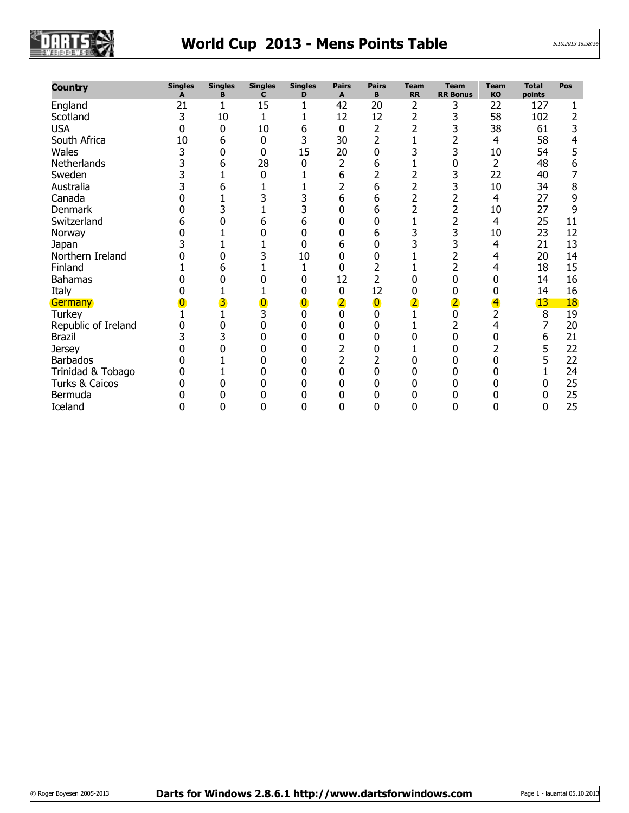

# World Cup 2013 - Mens Points Table

| <b>Country</b>      | <b>Singles</b><br>Δ | <b>Singles</b><br>в | Singles<br>C | <b>Singles</b><br>D | <b>Pairs</b><br>A | Pairs<br>В     | Team<br><b>RR</b> | Team<br><b>RR Bonus</b> | Team<br>KO | Total<br>points | Pos       |
|---------------------|---------------------|---------------------|--------------|---------------------|-------------------|----------------|-------------------|-------------------------|------------|-----------------|-----------|
| England             | 21                  | 1                   | 15           |                     | 42                | 20             | $\overline{2}$    | 3                       | 22         | 127             |           |
| Scotland            | 3                   | 10                  |              |                     | 12                | 12             | 2                 | 3                       | 58         | 102             | 2         |
| <b>USA</b>          | 0                   | 0                   | 10           | 6                   | 0                 | 2              |                   | 3                       | 38         | 61              |           |
| South Africa        | 10                  | 6                   | 0            | 3                   | 30                | 2              |                   | 2                       | 4          | 58              |           |
| Wales               | 3                   | 0                   | 0            | 15                  | 20                | 0              |                   | 3                       | 10         | 54              |           |
| Netherlands         | 3                   | 6                   | 28           | 0                   | 2                 | 6              |                   | 0                       | 2          | 48              | 6         |
| Sweden              | 3                   |                     | 0            |                     | 6                 | 2              |                   | 3                       | 22         | 40              |           |
| Australia           |                     |                     |              |                     | $\overline{2}$    | 6              |                   | 3                       | 10         | 34              | 8         |
| Canada              |                     |                     |              |                     | 6                 | 6              |                   | 2                       | 4          | 27              | 9         |
| Denmark             |                     |                     |              |                     | 0                 | 6              |                   | 2                       | 10         | 27              | 9         |
| Switzerland         | h                   |                     | 6            | 6                   |                   | 0              |                   | 2                       | 4          | 25              | 11        |
| Norway              |                     |                     |              |                     | 0                 | 6              |                   | 3                       | 10         | 23              | 12        |
| Japan               |                     |                     |              |                     | 6                 | 0              |                   | 3                       | 4          | 21              | 13        |
| Northern Ireland    |                     |                     |              | 10                  | ი                 | N              |                   | $\overline{2}$          | 4          | 20              | 14        |
| Finland             |                     |                     |              |                     | 0                 | 2              |                   | $\overline{2}$          | 4          | 18              | 15        |
| <b>Bahamas</b>      |                     |                     |              |                     | 12                | $\overline{2}$ |                   | 0                       | 0          | 14              | 16        |
| Italy               |                     |                     |              |                     | 0                 | 12             |                   | 0                       | 0          | 14              | 16        |
| Germany             |                     |                     |              |                     |                   | 0              |                   |                         |            | 13              | <b>18</b> |
| <b>Turkey</b>       |                     |                     |              |                     |                   |                |                   |                         | 2          | 8               | 19        |
| Republic of Ireland |                     |                     |              |                     | 0                 | 0              |                   | 2                       | 4          | 7               | 20        |
| <b>Brazil</b>       |                     |                     |              |                     |                   |                |                   | 0                       |            | 6               | 21        |
| <b>Jersey</b>       |                     |                     |              |                     |                   |                |                   |                         |            | 5               | 22        |
| <b>Barbados</b>     |                     |                     |              |                     |                   | 2              |                   | 0                       |            | 5               | 22        |
| Trinidad & Tobago   |                     |                     |              |                     | 0                 | N              |                   |                         |            |                 | 24        |
| Turks & Caicos      |                     |                     |              |                     |                   |                |                   |                         |            |                 | 25        |
| Bermuda             |                     |                     |              |                     |                   |                |                   |                         |            | O               | 25        |
| Iceland             | 0                   |                     |              |                     |                   | 0              |                   |                         |            | 0               | 25        |